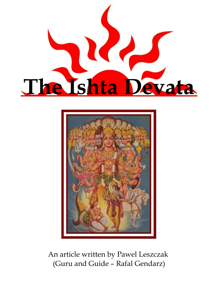



An article written by Pawel Leszczak (Guru and Guide – Rafal Gendarz)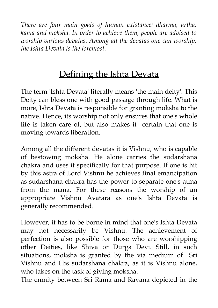*There are four main goals of human existance: dharma, artha, kama and moksha. In order to achieve them, people are advised to worship various devatas. Among all the devatas one can worship, the Ishta Devata is the foremost.*

# Defining the Ishta Devata

The term 'Ishta Devata' literally means 'the main deity'. This Deity can bless one with good passage through life. What is more, Ishta Devata is responsible for granting moksha to the native. Hence, its worship not only ensures that one's whole life is taken care of, but also makes it certain that one is moving towards liberation.

Among all the different devatas it is Vishnu, who is capable of bestowing moksha. He alone carries the sudarshana chakra and uses it specifically for that purpose. If one is hit by this astra of Lord Vishnu he achieves final emancipation as sudarshana chakra has the power to separate one's atma from the mana. For these reasons the worship of an appropriate Vishnu Avatara as one's Ishta Devata is generally recommended.

However, it has to be borne in mind that one's Ishta Devata may not necessarily be Vishnu. The achievement of perfection is also possible for those who are worshipping other Deities, like Shiva or Durga Devi. Still, in such situations, moksha is granted by the via medium of Sri Vishnu and His sudarshana chakra, as it is Vishnu alone, who takes on the task of giving moksha.

The enmity between Sri Rama and Ravana depicted in the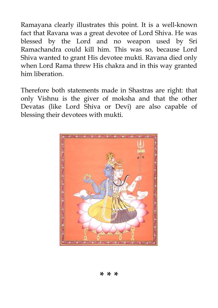Ramayana clearly illustrates this point. It is a well-known fact that Ravana was a great devotee of Lord Shiva. He was blessed by the Lord and no weapon used by Sri Ramachandra could kill him. This was so, because Lord Shiva wanted to grant His devotee mukti. Ravana died only when Lord Rama threw His chakra and in this way granted him liberation.

Therefore both statements made in Shastras are right: that only Vishnu is the giver of moksha and that the other Devatas (like Lord Shiva or Devi) are also capable of blessing their devotees with mukti.

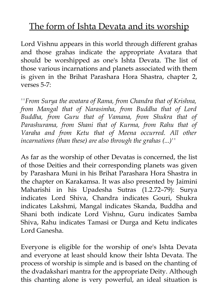# The form of Ishta Devata and its worship

Lord Vishnu appears in this world through different grahas and those grahas indicate the appropriate Avatara that should be worshipped as one's Ishta Devata. The list of those various incarnations and planets associated with them is given in the Brihat Parashara Hora Shastra, chapter 2, verses 5-7:

*''From Surya the avatara of Rama, from Chandra that of Krishna, from Mangal that of Narasimha, from Buddha that of Lord Buddha, from Guru that of Vamana, from Shukra that of Parashurama, from Shani that of Kurma, from Rahu that of Varaha and from Ketu that of Meena occurred. All other incarnations (than these) are also through the grahas (...)''*

As far as the worship of other Devatas is concerned, the list of those Deities and their corresponding planets was given by Parashara Muni in his Brihat Parashara Hora Shastra in the chapter on Karakamsa. It was also presented by Jaimini Maharishi in his Upadesha Sutras (1.2.72–79): Surya indicates Lord Shiva, Chandra indicates Gouri, Shukra indicates Lakshmi, Mangal indicates Skanda, Buddha and Shani both indicate Lord Vishnu, Guru indicates Samba Shiva, Rahu indicates Tamasi or Durga and Ketu indicates Lord Ganesha.

Everyone is eligible for the worship of one's Ishta Devata and everyone at least should know their Ishta Devata. The process of worship is simple and is based on the chanting of the dvadakshari mantra for the appropriate Deity. Although this chanting alone is very powerful, an ideal situation is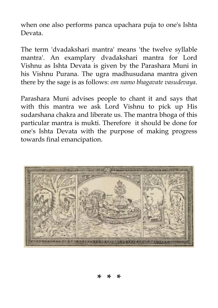when one also performs panca upachara puja to one's Ishta Devata.

The term 'dvadakshari mantra' means 'the twelve syllable mantra'. An examplary dvadakshari mantra for Lord Vishnu as Ishta Devata is given by the Parashara Muni in his Vishnu Purana. The ugra madhusudana mantra given there by the sage is as follows: *om namo bhagavate vasudevaya*.

Parashara Muni advises people to chant it and says that with this mantra we ask Lord Vishnu to pick up His sudarshana chakra and liberate us. The mantra bhoga of this particular mantra is mukti. Therefore it should be done for one's Ishta Devata with the purpose of making progress towards final emancipation.

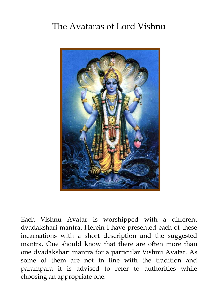# The Avataras of Lord Vishnu



Each Vishnu Avatar is worshipped with a different dvadakshari mantra. Herein I have presented each of these incarnations with a short description and the suggested mantra. One should know that there are often more than one dvadakshari mantra for a particular Vishnu Avatar. As some of them are not in line with the tradition and parampara it is advised to refer to authorities while choosing an appropriate one.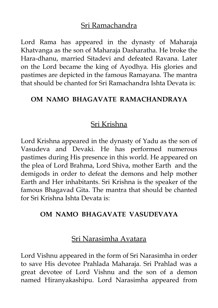## Sri Ramachandra

Lord Rama has appeared in the dynasty of Maharaja Khatvanga as the son of Maharaja Dasharatha. He broke the Hara-dhanu, married Sitadevi and defeated Ravana. Later on the Lord became the king of Ayodhya. His glories and pastimes are depicted in the famous Ramayana. The mantra that should be chanted for Sri Ramachandra Ishta Devata is:

#### **OM NAMO BHAGAVATE RAMACHANDRAYA**

## Sri Krishna

Lord Krishna appeared in the dynasty of Yadu as the son of Vasudeva and Devaki. He has performed numerous pastimes during His presence in this world. He appeared on the plea of Lord Brahma, Lord Shiva, mother Earth and the demigods in order to defeat the demons and help mother Earth and Her inhabitants. Sri Krishna is the speaker of the famous Bhagavad Gita. The mantra that should be chanted for Sri Krishna Ishta Devata is:

#### **OM NAMO BHAGAVATE VASUDEVAYA**

#### Sri Narasimha Avatara

Lord Vishnu appeared in the form of Sri Narasimha in order to save His devotee Prahlada Maharaja. Sri Prahlad was a great devotee of Lord Vishnu and the son of a demon named Hiranyakashipu. Lord Narasimha appeared from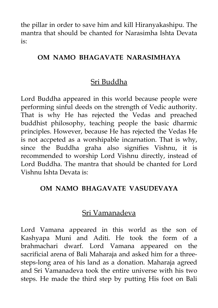the pillar in order to save him and kill Hiranyakashipu. The mantra that should be chanted for Narasimha Ishta Devata is:

#### **OM NAMO BHAGAVATE NARASIMHAYA**

# Sri Buddha

Lord Buddha appeared in this world because people were performing sinful deeds on the strength of Vedic authority. That is why He has rejected the Vedas and preached buddhist philosophy, teaching people the basic dharmic principles. However, because He has rejected the Vedas He is not accpeted as a worshipable incarnation. That is why, since the Buddha graha also signifies Vishnu, it is recommended to worship Lord Vishnu directly, instead of Lord Buddha. The mantra that should be chanted for Lord Vishnu Ishta Devata is:

#### **OM NAMO BHAGAVATE VASUDEVAYA**

## Sri Vamanadeva

Lord Vamana appeared in this world as the son of Kashyapa Muni and Aditi. He took the form of a brahmachari dwarf. Lord Vamana appeared on the sacrificial arena of Bali Maharaja and asked him for a threesteps-long area of his land as a donation. Maharaja agreed and Sri Vamanadeva took the entire universe with his two steps. He made the third step by putting His foot on Bali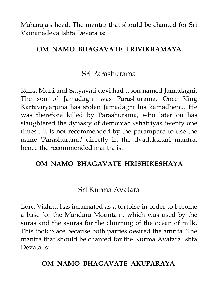Maharaja's head. The mantra that should be chanted for Sri Vamanadeva Ishta Devata is:

### **OM NAMO BHAGAVATE TRIVIKRAMAYA**

## Sri Parashurama

Rcika Muni and Satyavati devi had a son named Jamadagni. The son of Jamadagni was Parashurama. Once King Kartaviryarjuna has stolen Jamadagni his kamadhenu. He was therefore killed by Parashurama, who later on has slaughtered the dynasty of demoniac kshatriyas twenty one times . It is not recommended by the parampara to use the name 'Parashurama' directly in the dvadakshari mantra, hence the recommended mantra is:

#### **OM NAMO BHAGAVATE HRISHIKESHAYA**

# Sri Kurma Avatara

Lord Vishnu has incarnated as a tortoise in order to become a base for the Mandara Mountain, which was used by the suras and the asuras for the churning of the ocean of milk. This took place because both parties desired the amrita. The mantra that should be chanted for the Kurma Avatara Ishta Devata is:

## **OM NAMO BHAGAVATE AKUPARAYA**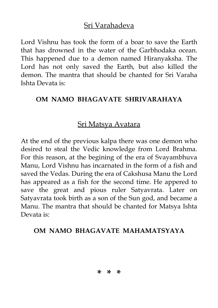## Sri Varahadeva

Lord Vishnu has took the form of a boar to save the Earth that has drowned in the water of the Garbhodaka ocean. This happened due to a demon named Hiranyaksha. The Lord has not only saved the Earth, but also killed the demon. The mantra that should be chanted for Sri Varaha Ishta Devata is:

#### **OM NAMO BHAGAVATE SHRIVARAHAYA**

# Sri Matsya Avatara

At the end of the previous kalpa there was one demon who desired to steal the Vedic knowledge from Lord Brahma. For this reason, at the begining of the era of Svayambhuva Manu, Lord Vishnu has incarnated in the form of a fish and saved the Vedas. During the era of Cakshusa Manu the Lord has appeared as a fish for the second time. He appered to save the great and pious ruler Satyavrata. Later on Satyavrata took birth as a son of the Sun god, and became a Manu. The mantra that should be chanted for Matsya Ishta Devata is:

#### **OM NAMO BHAGAVATE MAHAMATSYAYA**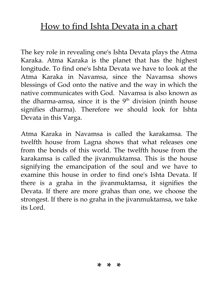# How to find Ishta Devata in a chart

The key role in revealing one's Ishta Devata plays the Atma Karaka. Atma Karaka is the planet that has the highest longitude. To find one's Ishta Devata we have to look at the Atma Karaka in Navamsa, since the Navamsa shows blessings of God onto the native and the way in which the native communicates with God. Navamsa is also known as the dharma-amsa, since it is the  $9<sup>th</sup>$  division (ninth house signifies dharma). Therefore we should look for Ishta Devata in this Varga.

Atma Karaka in Navamsa is called the karakamsa. The twelfth house from Lagna shows that what releases one from the bonds of this world. The twelfth house from the karakamsa is called the jivanmuktamsa. This is the house signifying the emancipation of the soul and we have to examine this house in order to find one's Ishta Devata. If there is a graha in the jivanmuktamsa, it signifies the Devata. If there are more grahas than one, we choose the strongest. If there is no graha in the jivanmuktamsa, we take its Lord.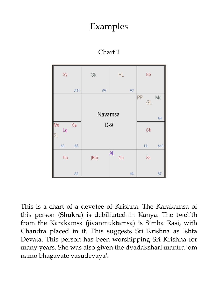# **Examples**

| Sy                                    |                | Gk      | HL        |    | Ke            |     |
|---------------------------------------|----------------|---------|-----------|----|---------------|-----|
|                                       | A11            | A6      |           | A3 |               |     |
|                                       |                |         |           |    | ļΡP<br>GL     | Md  |
|                                       |                | Navamsa |           |    |               | A4  |
| Ma<br>Lg                              | Sa             | $D-9$   |           |    | Ch            |     |
| $\textcolor{red}{\textsf{ISL}}$<br>A9 | A5             |         |           |    | $\mathsf{UL}$ | A10 |
| Ra                                    |                | (Bu)    | AL.<br>Gu |    | Sk            |     |
|                                       | A <sub>2</sub> |         |           | A8 |               | A7  |

Chart 1

This is a chart of a devotee of Krishna. The Karakamsa of this person (Shukra) is debilitated in Kanya. The twelfth from the Karakamsa (jivanmuktamsa) is Simha Rasi, with Chandra placed in it. This suggests Sri Krishna as Ishta Devata. This person has been worshipping Sri Krishna for many years. She was also given the dvadakshari mantra 'om namo bhagavate vasudevaya'.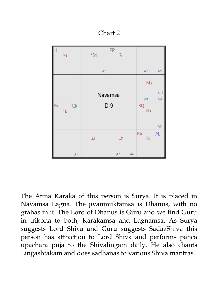Chart 2

|           | Ke |    | Md             | ΡP<br>GL |    |      |     |     |
|-----------|----|----|----------------|----------|----|------|-----|-----|
|           |    | UL | A <sub>2</sub> |          |    |      | A10 | A8  |
|           |    |    |                |          |    |      | Ma  |     |
|           |    |    |                | Navamsa  |    |      |     |     |
| <b>Sy</b> | Lg | Gk | $D-9$          |          |    | (Sk) | Bu  |     |
|           |    |    |                |          |    |      |     | A5  |
|           |    |    | Sa             | Ch       |    | Ra   | Gu  | AL. |
|           |    | A3 |                | A7       | A6 |      |     |     |

The Atma Karaka of this person is Surya. It is placed in Navamsa Lagna. The jivanmuktamsa is Dhanus, with no grahas in it. The Lord of Dhanus is Guru and we find Guru in trikona to both, Karakamsa and Lagnamsa. As Surya suggests Lord Shiva and Guru suggests SadaaShiva this person has attraction to Lord Shiva and performs panca upachara puja to the Shivalingam daily. He also chants Lingashtakam and does sadhanas to various Shiva mantras.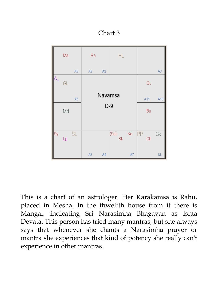Chart 3

|           | Ma |    | Ra |                | HL         |    |          |     |
|-----------|----|----|----|----------------|------------|----|----------|-----|
|           |    | A6 | A9 | A <sub>2</sub> |            |    |          | A3  |
| <b>AL</b> | GL |    |    |                |            |    | Gu       |     |
|           |    | A5 |    | Navamsa        |            |    | A11      | A10 |
|           | Md |    |    | $D-9$          |            |    | Bu       |     |
|           |    |    |    |                |            |    |          |     |
| Sy        | Lg | SL |    |                | (Sa)<br>Sk | Ke | PP<br>Ch | Gk  |
|           |    |    | A8 | A4             |            | A7 |          | UL  |

This is a chart of an astrologer. Her Karakamsa is Rahu, placed in Mesha. In the thwelfth house from it there is Mangal, indicating Sri Narasimha Bhagavan as Ishta Devata. This person has tried many mantras, but she always says that whenever she chants a Narasimha prayer or mantra she experiences that kind of potency she really can't experience in other mantras.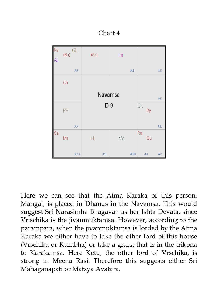Chart 4

| Ke<br>IA  | (Bu) | GL  | (Sk) | Lg      |     |    |    |                |
|-----------|------|-----|------|---------|-----|----|----|----------------|
|           |      | A8  |      |         | A4  |    |    | A5             |
|           | Ch   |     |      |         |     |    |    |                |
|           |      |     |      | Navamsa |     |    |    | A6             |
|           | PP   |     |      | $D-9$   |     | Gk | Sy |                |
|           |      | A7  |      |         |     |    |    | ŪL             |
| <b>Sa</b> | Ma   |     | HL   | Md      |     | Ra | Gu |                |
|           |      | A11 | A9   |         | A10 |    | A3 | A <sub>2</sub> |

Here we can see that the Atma Karaka of this person, Mangal, is placed in Dhanus in the Navamsa. This would suggest Sri Narasimha Bhagavan as her Ishta Devata, since Vrischika is the jivanmuktamsa. However, according to the parampara, when the jivanmuktamsa is lorded by the Atma Karaka we either have to take the other lord of this house (Vrschika or Kumbha) or take a graha that is in the trikona to Karakamsa. Here Ketu, the other lord of Vrschika, is strong in Meena Rasi. Therefore this suggests either Sri Mahaganapati or Matsya Avatara.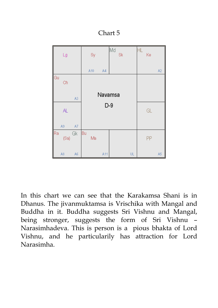Chart 5

|    | Lg   |    | Sy       |         | Md<br>Sk |    | HL | Ke |                |
|----|------|----|----------|---------|----------|----|----|----|----------------|
|    |      |    | A10      | A4      |          |    |    |    | A <sub>2</sub> |
| Gu | Ch   |    |          |         |          |    |    |    |                |
|    |      | A3 |          | Navamsa |          |    |    |    |                |
|    | AL.  |    |          | $D-9$   |          |    |    | GL |                |
|    | A9   | A7 |          |         |          |    |    |    |                |
| Ra | (Sa) | Gk | Bu<br>Ma |         |          |    |    | PP |                |
|    | A8   | A6 |          | A11     |          | UL |    |    | A5             |

In this chart we can see that the Karakamsa Shani is in Dhanus. The jivanmuktamsa is Vrischika with Mangal and Buddha in it. Buddha suggests Sri Vishnu and Mangal, being stronger, suggests the form of Sri Vishnu – Narasimhadeva. This is person is a pious bhakta of Lord Vishnu, and he particularily has attraction for Lord Narasimha.